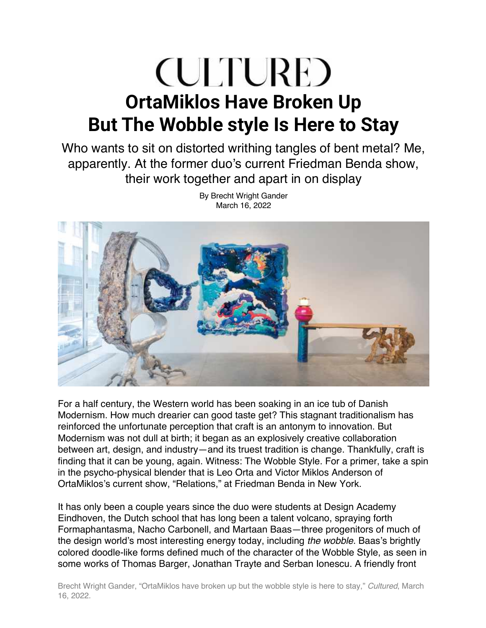## **CULTURE OrtaMiklos Have Broken Up But The Wobble style Is Here to Stay**

Who wants to sit on distorted writhing tangles of bent metal? Me, apparently. At the former duo's current Friedman Benda show, their work together and apart in on display



By Brecht Wright Gander March 16, 2022

For a half century, the Western world has been soaking in an ice tub of Danish Modernism. How much drearier can good taste get? This stagnant traditionalism has reinforced the unfortunate perception that craft is an antonym to innovation. But Modernism was not dull at birth; it began as an explosively creative collaboration between art, design, and industry—and its truest tradition is change. Thankfully, craft is finding that it can be young, again. Witness: The Wobble Style. For a primer, take a spin in the psycho-physical blender that is Leo Orta and Victor Miklos Anderson of OrtaMiklos's current show, "Relations," at Friedman Benda in New York.

It has only been a couple years since the duo were students at Design Academy Eindhoven, the Dutch school that has long been a talent volcano, spraying forth Formaphantasma, Nacho Carbonell, and Martaan Baas—three progenitors of much of the design world's most interesting energy today, including *the wobble*. Baas's brightly colored doodle-like forms defined much of the character of the Wobble Style, as seen in some works of Thomas Barger, Jonathan Trayte and Serban Ionescu. A friendly front

Brecht Wright Gander, "OrtaMiklos have broken up but the wobble style is here to stay," *Cultured*, March 16, 2022.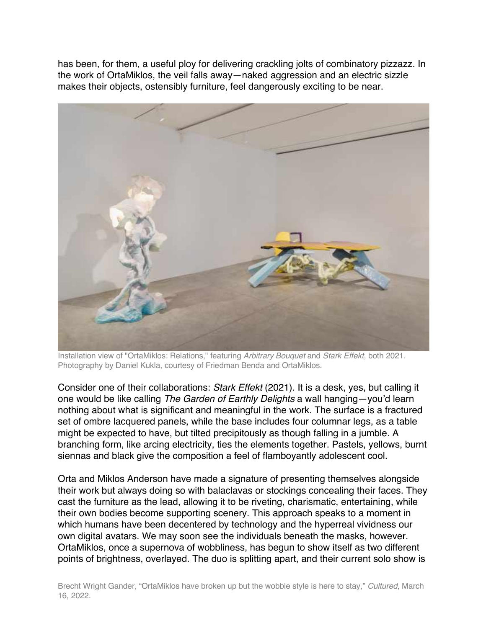has been, for them, a useful ploy for delivering crackling jolts of combinatory pizzazz. In the work of OrtaMiklos, the veil falls away—naked aggression and an electric sizzle makes their objects, ostensibly furniture, feel dangerously exciting to be near.



Installation view of "OrtaMiklos: Relations," featuring *Arbitrary Bouquet* and *Stark Effekt*, both 2021. Photography by Daniel Kukla, courtesy of Friedman Benda and OrtaMiklos.

Consider one of their collaborations: *Stark Effekt* (2021). It is a desk, yes, but calling it one would be like calling *The Garden of Earthly Delights* a wall hanging—you'd learn nothing about what is significant and meaningful in the work. The surface is a fractured set of ombre lacquered panels, while the base includes four columnar legs, as a table might be expected to have, but tilted precipitously as though falling in a jumble. A branching form, like arcing electricity, ties the elements together. Pastels, yellows, burnt siennas and black give the composition a feel of flamboyantly adolescent cool.

Orta and Miklos Anderson have made a signature of presenting themselves alongside their work but always doing so with balaclavas or stockings concealing their faces. They cast the furniture as the lead, allowing it to be riveting, charismatic, entertaining, while their own bodies become supporting scenery. This approach speaks to a moment in which humans have been decentered by technology and the hyperreal vividness our own digital avatars. We may soon see the individuals beneath the masks, however. OrtaMiklos, once a supernova of wobbliness, has begun to show itself as two different points of brightness, overlayed. The duo is splitting apart, and their current solo show is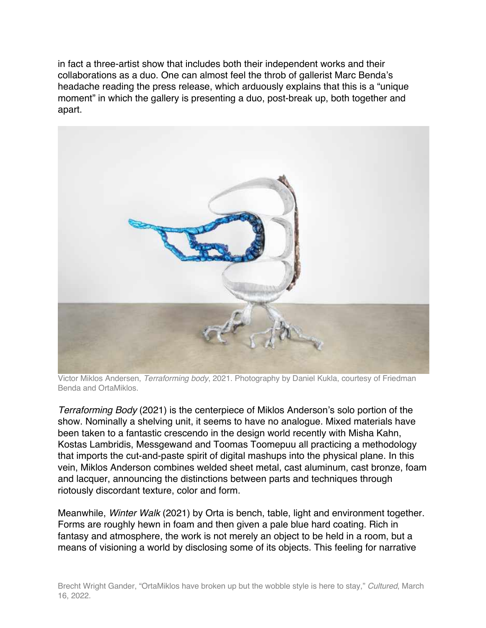in fact a three-artist show that includes both their independent works and their collaborations as a duo. One can almost feel the throb of gallerist Marc Benda's headache reading the press release, which arduously explains that this is a "unique moment" in which the gallery is presenting a duo, post-break up, both together and apart.



Victor Miklos Andersen, *Terraforming body*, 2021. Photography by Daniel Kukla, courtesy of Friedman Benda and OrtaMiklos.

*Terraforming Body* (2021) is the centerpiece of Miklos Anderson's solo portion of the show. Nominally a shelving unit, it seems to have no analogue. Mixed materials have been taken to a fantastic crescendo in the design world recently with Misha Kahn, Kostas Lambridis, Messgewand and Toomas Toomepuu all practicing a methodology that imports the cut-and-paste spirit of digital mashups into the physical plane. In this vein, Miklos Anderson combines welded sheet metal, cast aluminum, cast bronze, foam and lacquer, announcing the distinctions between parts and techniques through riotously discordant texture, color and form.

Meanwhile, *Winter Walk* (2021) by Orta is bench, table, light and environment together. Forms are roughly hewn in foam and then given a pale blue hard coating. Rich in fantasy and atmosphere, the work is not merely an object to be held in a room, but a means of visioning a world by disclosing some of its objects. This feeling for narrative